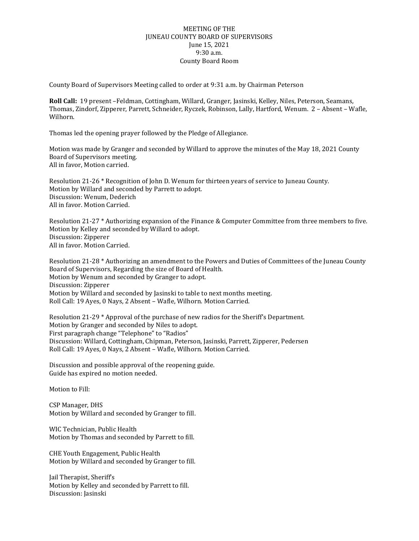## MEETING OF THE JUNEAU COUNTY BOARD OF SUPERVISORS June 15, 2021 9:30 a.m. County Board Room

County Board of Supervisors Meeting called to order at 9:31 a.m. by Chairman Peterson

**Roll Call:** 19 present –Feldman, Cottingham, Willard, Granger, Jasinski, Kelley, Niles, Peterson, Seamans, Thomas, Zindorf, Zipperer, Parrett, Schneider, Ryczek, Robinson, Lally, Hartford, Wenum. 2 – Absent – Wafle, Wilhorn.

Thomas led the opening prayer followed by the Pledge of Allegiance.

Motion was made by Granger and seconded by Willard to approve the minutes of the May 18, 2021 County Board of Supervisors meeting. All in favor, Motion carried.

Resolution 21-26 \* Recognition of John D. Wenum for thirteen years of service to Juneau County. Motion by Willard and seconded by Parrett to adopt. Discussion: Wenum, Dederich All in favor. Motion Carried.

Resolution 21-27 \* Authorizing expansion of the Finance & Computer Committee from three members to five. Motion by Kelley and seconded by Willard to adopt. Discussion: Zipperer All in favor. Motion Carried.

Resolution 21-28 \* Authorizing an amendment to the Powers and Duties of Committees of the Juneau County Board of Supervisors, Regarding the size of Board of Health. Motion by Wenum and seconded by Granger to adopt. Discussion: Zipperer Motion by Willard and seconded by Jasinski to table to next months meeting. Roll Call: 19 Ayes, 0 Nays, 2 Absent – Wafle, Wilhorn. Motion Carried.

Resolution 21-29 \* Approval of the purchase of new radios for the Sheriff's Department. Motion by Granger and seconded by Niles to adopt. First paragraph change "Telephone" to "Radios" Discussion: Willard, Cottingham, Chipman, Peterson, Jasinski, Parrett, Zipperer, Pedersen Roll Call: 19 Ayes, 0 Nays, 2 Absent – Wafle, Wilhorn. Motion Carried.

Discussion and possible approval of the reopening guide. Guide has expired no motion needed.

Motion to Fill:

CSP Manager, DHS Motion by Willard and seconded by Granger to fill.

WIC Technician, Public Health Motion by Thomas and seconded by Parrett to fill.

CHE Youth Engagement, Public Health Motion by Willard and seconded by Granger to fill.

Jail Therapist, Sheriff's Motion by Kelley and seconded by Parrett to fill. Discussion: Jasinski